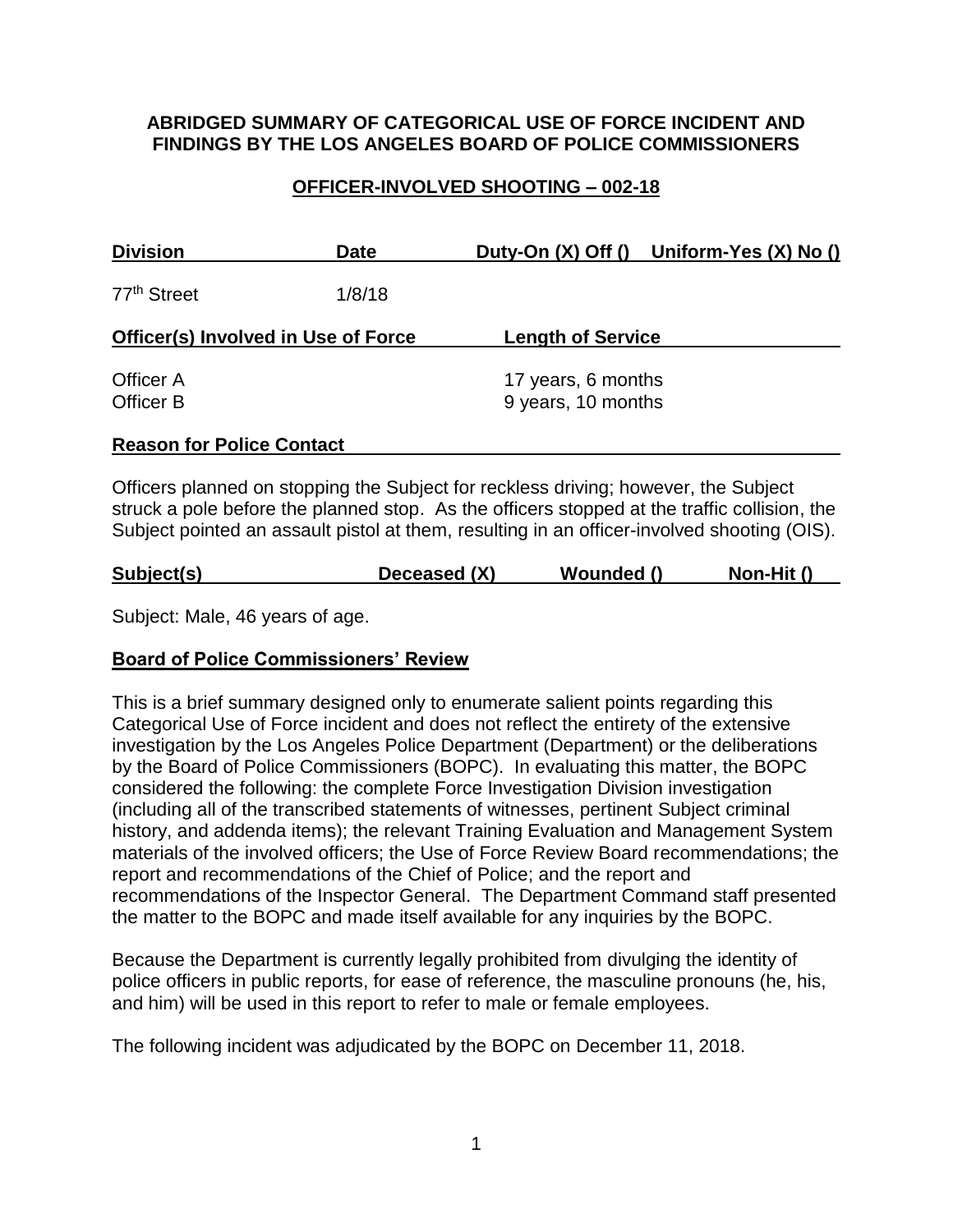### **ABRIDGED SUMMARY OF CATEGORICAL USE OF FORCE INCIDENT AND FINDINGS BY THE LOS ANGELES BOARD OF POLICE COMMISSIONERS**

## **OFFICER-INVOLVED SHOOTING – 002-18**

| <b>Division</b>                            | Date   |                                          | Duty-On (X) Off () Uniform-Yes (X) No () |
|--------------------------------------------|--------|------------------------------------------|------------------------------------------|
| 77 <sup>th</sup> Street                    | 1/8/18 |                                          |                                          |
| <b>Officer(s) Involved in Use of Force</b> |        | <b>Length of Service</b>                 |                                          |
| Officer A<br>Officer B                     |        | 17 years, 6 months<br>9 years, 10 months |                                          |
| <b>Reason for Police Contact</b>           |        |                                          |                                          |

Officers planned on stopping the Subject for reckless driving; however, the Subject struck a pole before the planned stop. As the officers stopped at the traffic collision, the Subject pointed an assault pistol at them, resulting in an officer-involved shooting (OIS).

Subject: Male, 46 years of age.

## **Board of Police Commissioners' Review**

This is a brief summary designed only to enumerate salient points regarding this Categorical Use of Force incident and does not reflect the entirety of the extensive investigation by the Los Angeles Police Department (Department) or the deliberations by the Board of Police Commissioners (BOPC). In evaluating this matter, the BOPC considered the following: the complete Force Investigation Division investigation (including all of the transcribed statements of witnesses, pertinent Subject criminal history, and addenda items); the relevant Training Evaluation and Management System materials of the involved officers; the Use of Force Review Board recommendations; the report and recommendations of the Chief of Police; and the report and recommendations of the Inspector General. The Department Command staff presented the matter to the BOPC and made itself available for any inquiries by the BOPC.

Because the Department is currently legally prohibited from divulging the identity of police officers in public reports, for ease of reference, the masculine pronouns (he, his, and him) will be used in this report to refer to male or female employees.

The following incident was adjudicated by the BOPC on December 11, 2018.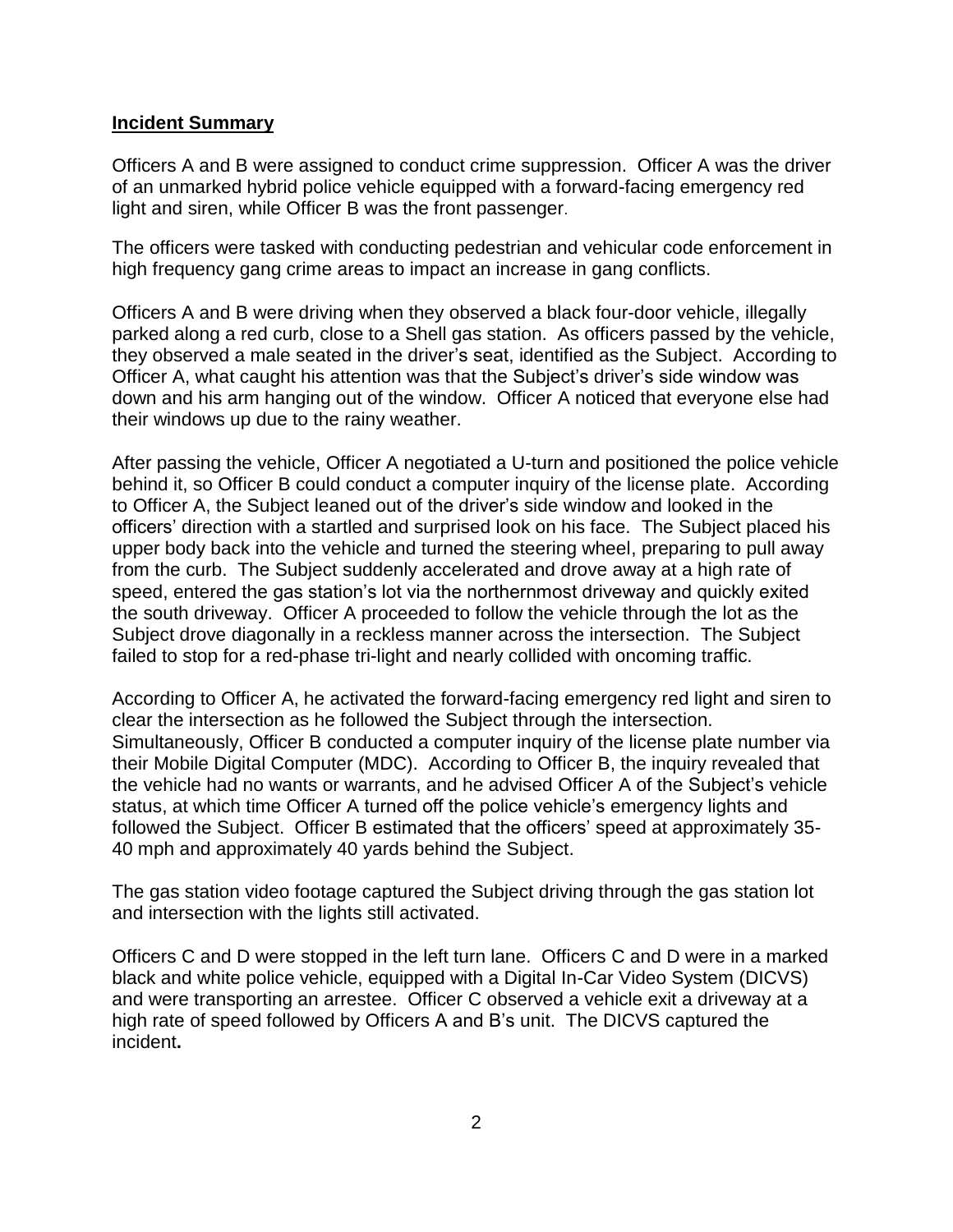#### **Incident Summary**

Officers A and B were assigned to conduct crime suppression. Officer A was the driver of an unmarked hybrid police vehicle equipped with a forward-facing emergency red light and siren, while Officer B was the front passenger.

The officers were tasked with conducting pedestrian and vehicular code enforcement in high frequency gang crime areas to impact an increase in gang conflicts.

Officers A and B were driving when they observed a black four-door vehicle, illegally parked along a red curb, close to a Shell gas station. As officers passed by the vehicle, they observed a male seated in the driver's seat, identified as the Subject. According to Officer A, what caught his attention was that the Subject's driver's side window was down and his arm hanging out of the window. Officer A noticed that everyone else had their windows up due to the rainy weather.

After passing the vehicle, Officer A negotiated a U-turn and positioned the police vehicle behind it, so Officer B could conduct a computer inquiry of the license plate. According to Officer A, the Subject leaned out of the driver's side window and looked in the officers' direction with a startled and surprised look on his face. The Subject placed his upper body back into the vehicle and turned the steering wheel, preparing to pull away from the curb. The Subject suddenly accelerated and drove away at a high rate of speed, entered the gas station's lot via the northernmost driveway and quickly exited the south driveway. Officer A proceeded to follow the vehicle through the lot as the Subject drove diagonally in a reckless manner across the intersection. The Subject failed to stop for a red-phase tri-light and nearly collided with oncoming traffic.

According to Officer A, he activated the forward-facing emergency red light and siren to clear the intersection as he followed the Subject through the intersection. Simultaneously, Officer B conducted a computer inquiry of the license plate number via their Mobile Digital Computer (MDC). According to Officer B, the inquiry revealed that the vehicle had no wants or warrants, and he advised Officer A of the Subject's vehicle status, at which time Officer A turned off the police vehicle's emergency lights and followed the Subject. Officer B estimated that the officers' speed at approximately 35- 40 mph and approximately 40 yards behind the Subject.

The gas station video footage captured the Subject driving through the gas station lot and intersection with the lights still activated.

Officers C and D were stopped in the left turn lane. Officers C and D were in a marked black and white police vehicle, equipped with a Digital In-Car Video System (DICVS) and were transporting an arrestee. Officer C observed a vehicle exit a driveway at a high rate of speed followed by Officers A and B's unit. The DICVS captured the incident**[.](file:///C:/Users/N3201.lapdonline/AppData/Local/Microsoft/Windows/Temporary%20Internet%20Files/Content.Outlook/HHXE29QX/IO%20Notes/1..pdf)**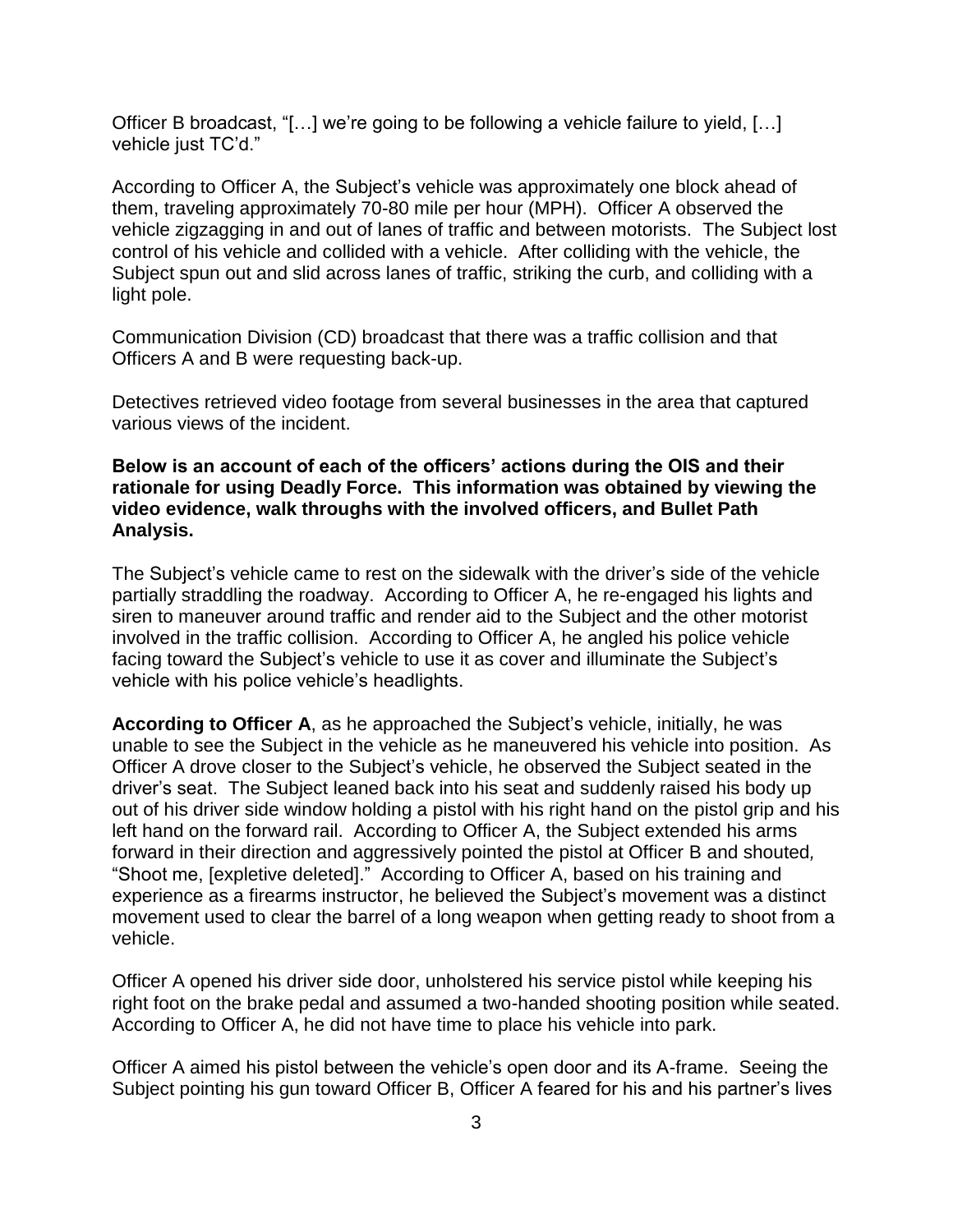Officer B broadcast, "[…] we're going to be following a vehicle failure to yield, […] vehicle just TC'd."

According to Officer A, the Subject's vehicle was approximately one block ahead of them, traveling approximately 70-80 mile per hour (MPH). Officer A observed the vehicle zigzagging in and out of lanes of traffic and between motorists. The Subject lost control of his vehicle and collided with a vehicle. After colliding with the vehicle, the Subject spun out and slid across lanes of traffic, striking the curb, and colliding with a light pole.

Communication Division (CD) broadcast that there was a traffic collision and that Officers A and B were requesting back-up.

Detectives retrieved video footage from several businesses in the area that captured various views of the incident.

### **Below is an account of each of the officers' actions during the OIS and their rationale for using Deadly Force. This information was obtained by viewing the video evidence, walk throughs with the involved officers, and Bullet Path Analysis.**

The Subject's vehicle came to rest on the sidewalk with the driver's side of the vehicle partially straddling the roadway. According to Officer A, he re-engaged his lights and siren to maneuver around traffic and render aid to the Subject and the other motorist involved in the traffic collision. According to Officer A, he angled his police vehicle facing toward the Subject's vehicle to use it as cover and illuminate the Subject's vehicle with his police vehicle's headlights.

**According to Officer A**, as he approached the Subject's vehicle, initially, he was unable to see the Subject in the vehicle as he maneuvered his vehicle into position. As Officer A drove closer to the Subject's vehicle, he observed the Subject seated in the driver's seat. The Subject leaned back into his seat and suddenly raised his body up out of his driver side window holding a pistol with his right hand on the pistol grip and his left hand on the forward rail. According to Officer A, the Subject extended his arms forward in their direction and aggressively pointed the pistol at Officer B and shouted*,*  "Shoot me, [expletive deleted]." According to Officer A, based on his training and experience as a firearms instructor, he believed the Subject's movement was a distinct movement used to clear the barrel of a long weapon when getting ready to shoot from a vehicle.

Officer A opened his driver side door, unholstered his service pistol while keeping his right foot on the brake pedal and assumed a two-handed shooting position while seated. According to Officer A, he did not have time to place his vehicle into park.

Officer A aimed his pistol between the vehicle's open door and its A-frame. Seeing the Subject pointing his gun toward Officer B, Officer A feared for his and his partner's lives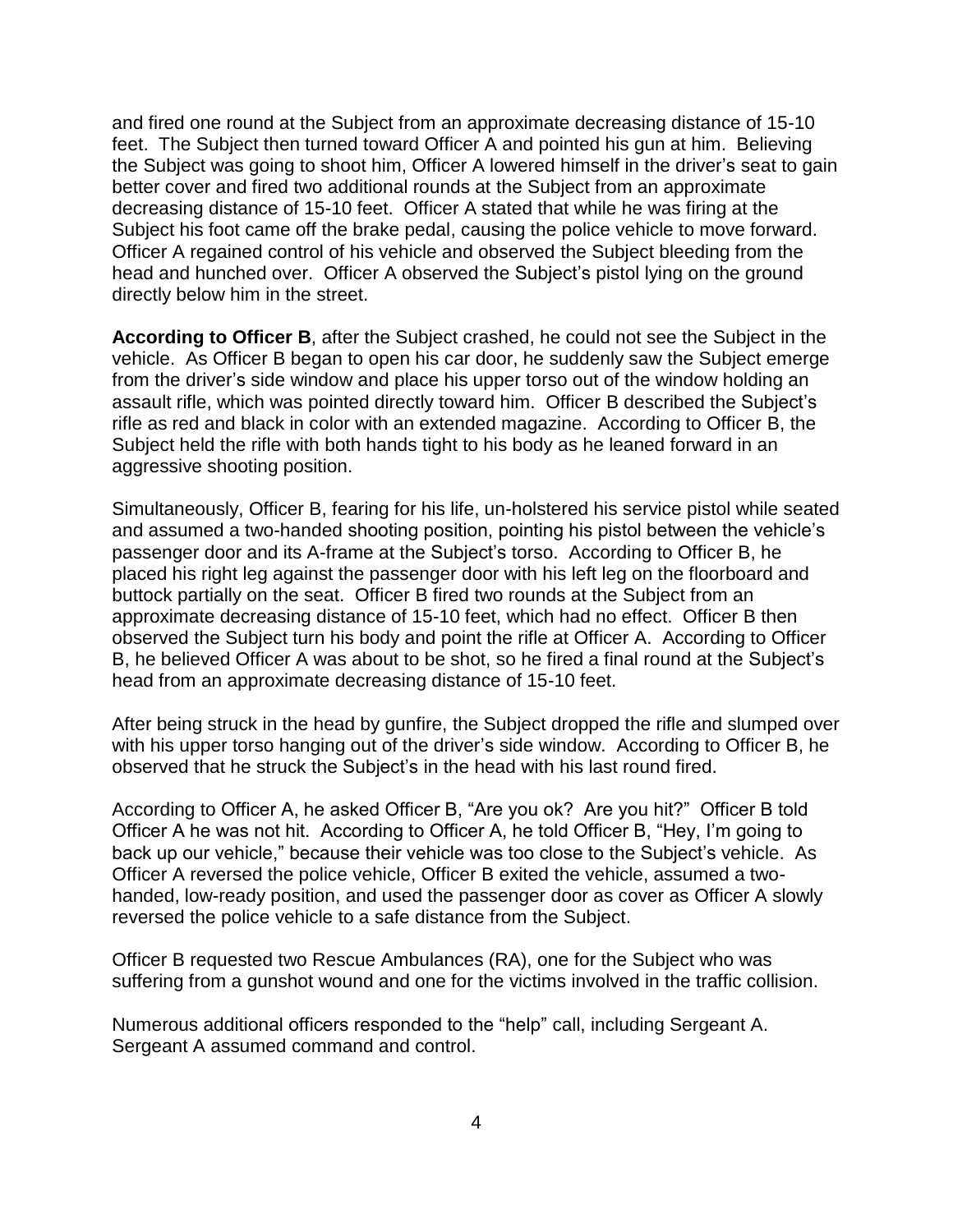and fired one round at the Subject from an approximate decreasing distance of 15-10 feet. The Subject then turned toward Officer A and pointed his gun at him. Believing the Subject was going to shoot him, Officer A lowered himself in the driver's seat to gain better cover and fired two additional rounds at the Subject from an approximate decreasing distance of 15-10 feet. Officer A stated that while he was firing at the Subject his foot came off the brake pedal, causing the police vehicle to move forward. Officer A regained control of his vehicle and observed the Subject bleeding from the head and hunched over. Officer A observed the Subject's pistol lying on the ground directly below him in the street.

**According to Officer B**, after the Subject crashed, he could not see the Subject in the vehicle. As Officer B began to open his car door, he suddenly saw the Subject emerge from the driver's side window and place his upper torso out of the window holding an assault rifle, which was pointed directly toward him. Officer B described the Subject's rifle as red and black in color with an extended magazine. According to Officer B, the Subject held the rifle with both hands tight to his body as he leaned forward in an aggressive shooting position.

Simultaneously, Officer B, fearing for his life, un-holstered his service pistol while seated and assumed a two-handed shooting position, pointing his pistol between the vehicle's passenger door and its A-frame at the Subject's torso. According to Officer B, he placed his right leg against the passenger door with his left leg on the floorboard and buttock partially on the seat. Officer B fired two rounds at the Subject from an approximate decreasing distance of 15-10 feet, which had no effect. Officer B then observed the Subject turn his body and point the rifle at Officer A. According to Officer B, he believed Officer A was about to be shot, so he fired a final round at the Subject's head from an approximate decreasing distance of 15-10 feet.

After being struck in the head by gunfire, the Subject dropped the rifle and slumped over with his upper torso hanging out of the driver's side window. According to Officer B, he observed that he struck the Subject's in the head with his last round fired.

According to Officer A, he asked Officer B, "Are you ok? Are you hit?" Officer B told Officer A he was not hit. According to Officer A, he told Officer B, "Hey, I'm going to back up our vehicle," because their vehicle was too close to the Subject's vehicle. As Officer A reversed the police vehicle, Officer B exited the vehicle, assumed a twohanded, low-ready position, and used the passenger door as cover as Officer A slowly reversed the police vehicle to a safe distance from the Subject.

Officer B requested two Rescue Ambulances (RA), one for the Subject who was suffering from a gunshot wound and one for the victims involved in the traffic collision.

Numerous additional officers responded to the "help" call, including Sergeant A. Sergeant A assumed command and control.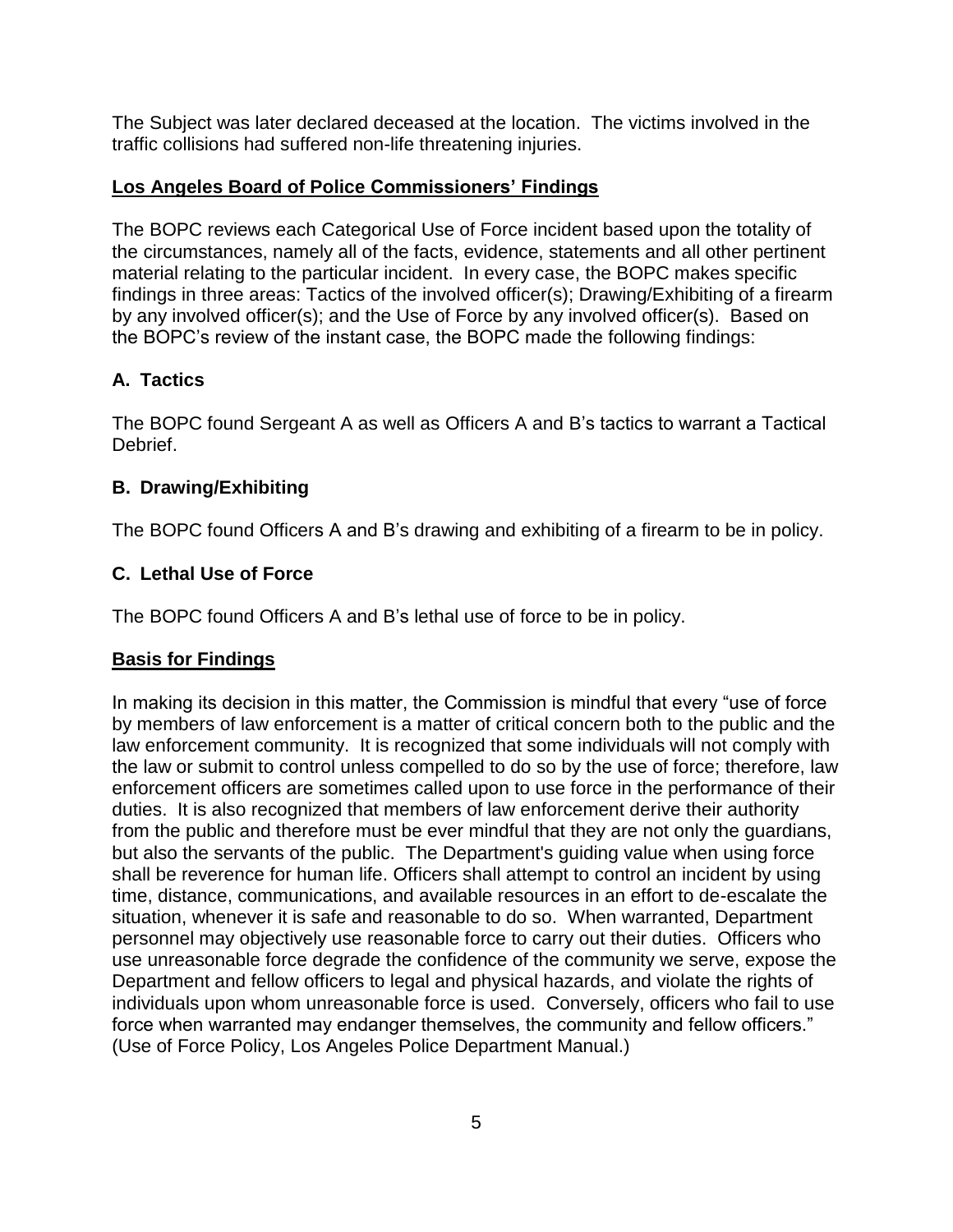The Subject was later declared deceased at the location. The victims involved in the traffic collisions had suffered non-life threatening injuries.

## **Los Angeles Board of Police Commissioners' Findings**

The BOPC reviews each Categorical Use of Force incident based upon the totality of the circumstances, namely all of the facts, evidence, statements and all other pertinent material relating to the particular incident. In every case, the BOPC makes specific findings in three areas: Tactics of the involved officer(s); Drawing/Exhibiting of a firearm by any involved officer(s); and the Use of Force by any involved officer(s). Based on the BOPC's review of the instant case, the BOPC made the following findings:

# **A. Tactics**

The BOPC found Sergeant A as well as Officers A and B's tactics to warrant a Tactical Debrief.

# **B. Drawing/Exhibiting**

The BOPC found Officers A and B's drawing and exhibiting of a firearm to be in policy.

# **C. Lethal Use of Force**

The BOPC found Officers A and B's lethal use of force to be in policy.

# **Basis for Findings**

In making its decision in this matter, the Commission is mindful that every "use of force by members of law enforcement is a matter of critical concern both to the public and the law enforcement community. It is recognized that some individuals will not comply with the law or submit to control unless compelled to do so by the use of force; therefore, law enforcement officers are sometimes called upon to use force in the performance of their duties. It is also recognized that members of law enforcement derive their authority from the public and therefore must be ever mindful that they are not only the guardians, but also the servants of the public. The Department's guiding value when using force shall be reverence for human life. Officers shall attempt to control an incident by using time, distance, communications, and available resources in an effort to de-escalate the situation, whenever it is safe and reasonable to do so. When warranted, Department personnel may objectively use reasonable force to carry out their duties. Officers who use unreasonable force degrade the confidence of the community we serve, expose the Department and fellow officers to legal and physical hazards, and violate the rights of individuals upon whom unreasonable force is used. Conversely, officers who fail to use force when warranted may endanger themselves, the community and fellow officers." (Use of Force Policy, Los Angeles Police Department Manual.)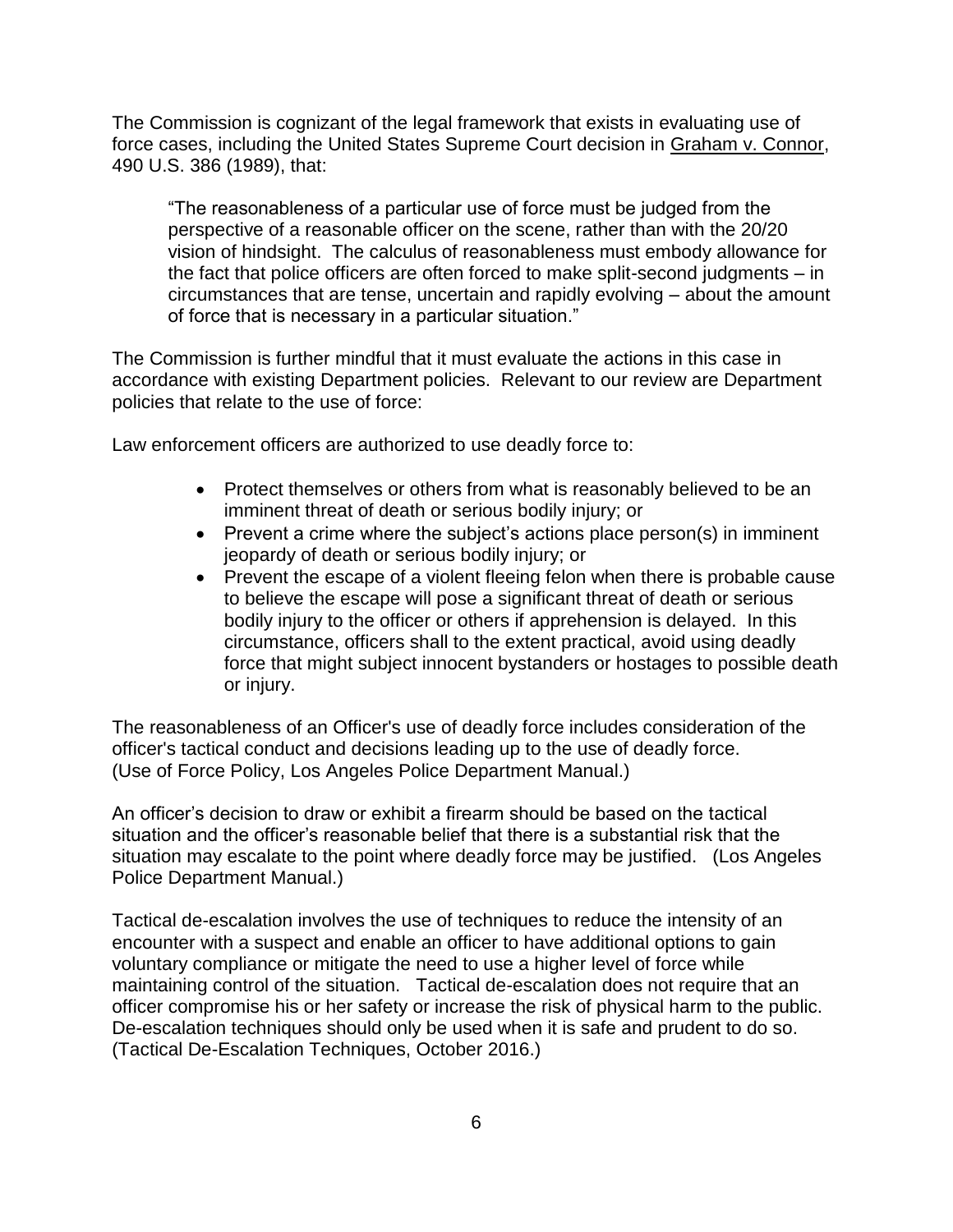The Commission is cognizant of the legal framework that exists in evaluating use of force cases, including the United States Supreme Court decision in Graham v. Connor, 490 U.S. 386 (1989), that:

"The reasonableness of a particular use of force must be judged from the perspective of a reasonable officer on the scene, rather than with the 20/20 vision of hindsight. The calculus of reasonableness must embody allowance for the fact that police officers are often forced to make split-second judgments – in circumstances that are tense, uncertain and rapidly evolving – about the amount of force that is necessary in a particular situation."

The Commission is further mindful that it must evaluate the actions in this case in accordance with existing Department policies. Relevant to our review are Department policies that relate to the use of force:

Law enforcement officers are authorized to use deadly force to:

- Protect themselves or others from what is reasonably believed to be an imminent threat of death or serious bodily injury; or
- Prevent a crime where the subject's actions place person(s) in imminent jeopardy of death or serious bodily injury; or
- Prevent the escape of a violent fleeing felon when there is probable cause to believe the escape will pose a significant threat of death or serious bodily injury to the officer or others if apprehension is delayed. In this circumstance, officers shall to the extent practical, avoid using deadly force that might subject innocent bystanders or hostages to possible death or injury.

The reasonableness of an Officer's use of deadly force includes consideration of the officer's tactical conduct and decisions leading up to the use of deadly force. (Use of Force Policy, Los Angeles Police Department Manual.)

An officer's decision to draw or exhibit a firearm should be based on the tactical situation and the officer's reasonable belief that there is a substantial risk that the situation may escalate to the point where deadly force may be justified. (Los Angeles Police Department Manual.)

Tactical de-escalation involves the use of techniques to reduce the intensity of an encounter with a suspect and enable an officer to have additional options to gain voluntary compliance or mitigate the need to use a higher level of force while maintaining control of the situation. Tactical de-escalation does not require that an officer compromise his or her safety or increase the risk of physical harm to the public. De-escalation techniques should only be used when it is safe and prudent to do so. (Tactical De-Escalation Techniques, October 2016.)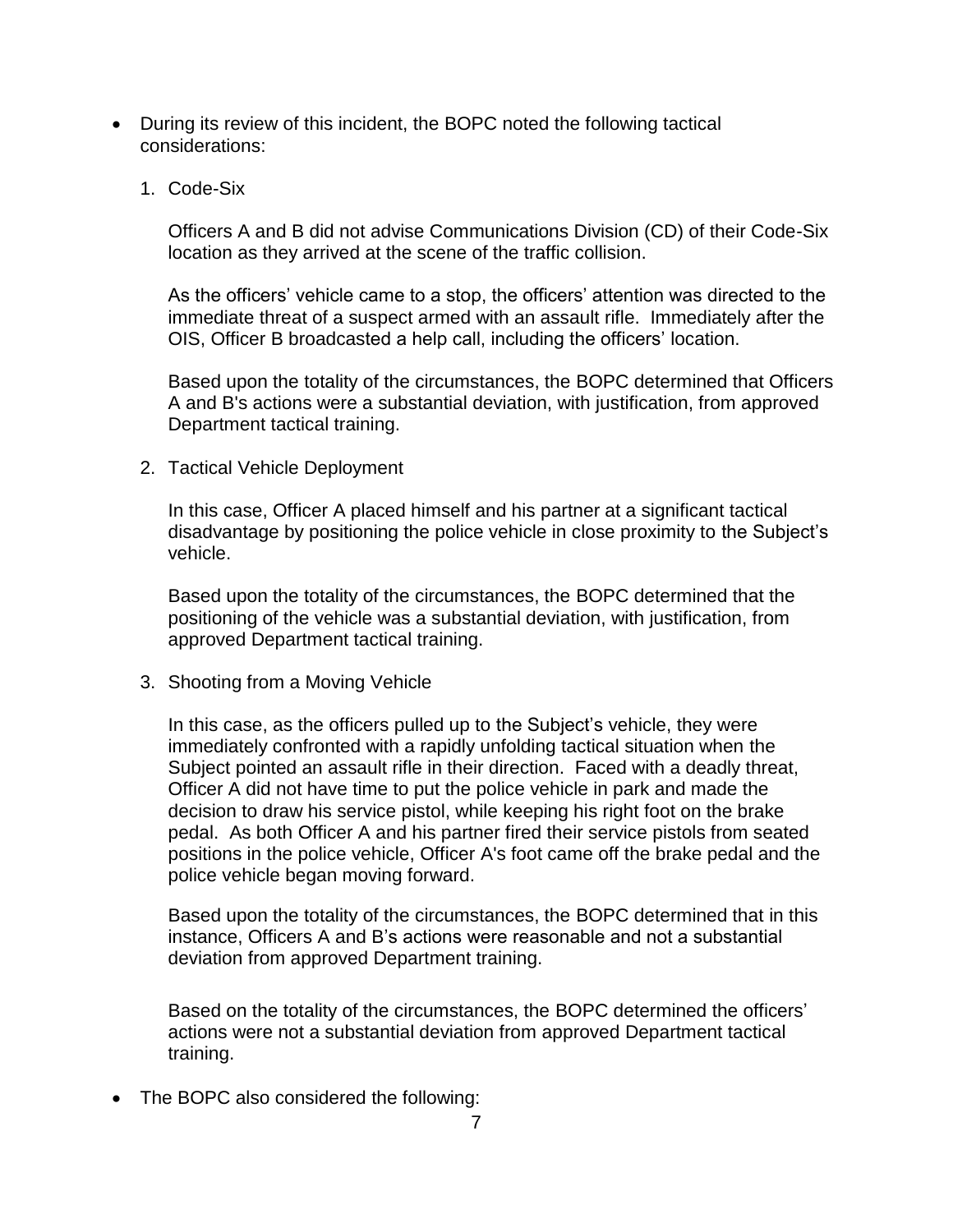- During its review of this incident, the BOPC noted the following tactical considerations:
	- 1. Code-Six

Officers A and B did not advise Communications Division (CD) of their Code-Six location as they arrived at the scene of the traffic collision.

As the officers' vehicle came to a stop, the officers' attention was directed to the immediate threat of a suspect armed with an assault rifle. Immediately after the OIS, Officer B broadcasted a help call, including the officers' location.

Based upon the totality of the circumstances, the BOPC determined that Officers A and B's actions were a substantial deviation, with justification, from approved Department tactical training.

2. Tactical Vehicle Deployment

In this case, Officer A placed himself and his partner at a significant tactical disadvantage by positioning the police vehicle in close proximity to the Subject's vehicle.

Based upon the totality of the circumstances, the BOPC determined that the positioning of the vehicle was a substantial deviation, with justification, from approved Department tactical training.

3. Shooting from a Moving Vehicle

In this case, as the officers pulled up to the Subject's vehicle, they were immediately confronted with a rapidly unfolding tactical situation when the Subject pointed an assault rifle in their direction. Faced with a deadly threat, Officer A did not have time to put the police vehicle in park and made the decision to draw his service pistol, while keeping his right foot on the brake pedal. As both Officer A and his partner fired their service pistols from seated positions in the police vehicle, Officer A's foot came off the brake pedal and the police vehicle began moving forward.

Based upon the totality of the circumstances, the BOPC determined that in this instance, Officers A and B's actions were reasonable and not a substantial deviation from approved Department training.

Based on the totality of the circumstances, the BOPC determined the officers' actions were not a substantial deviation from approved Department tactical training.

• The BOPC also considered the following: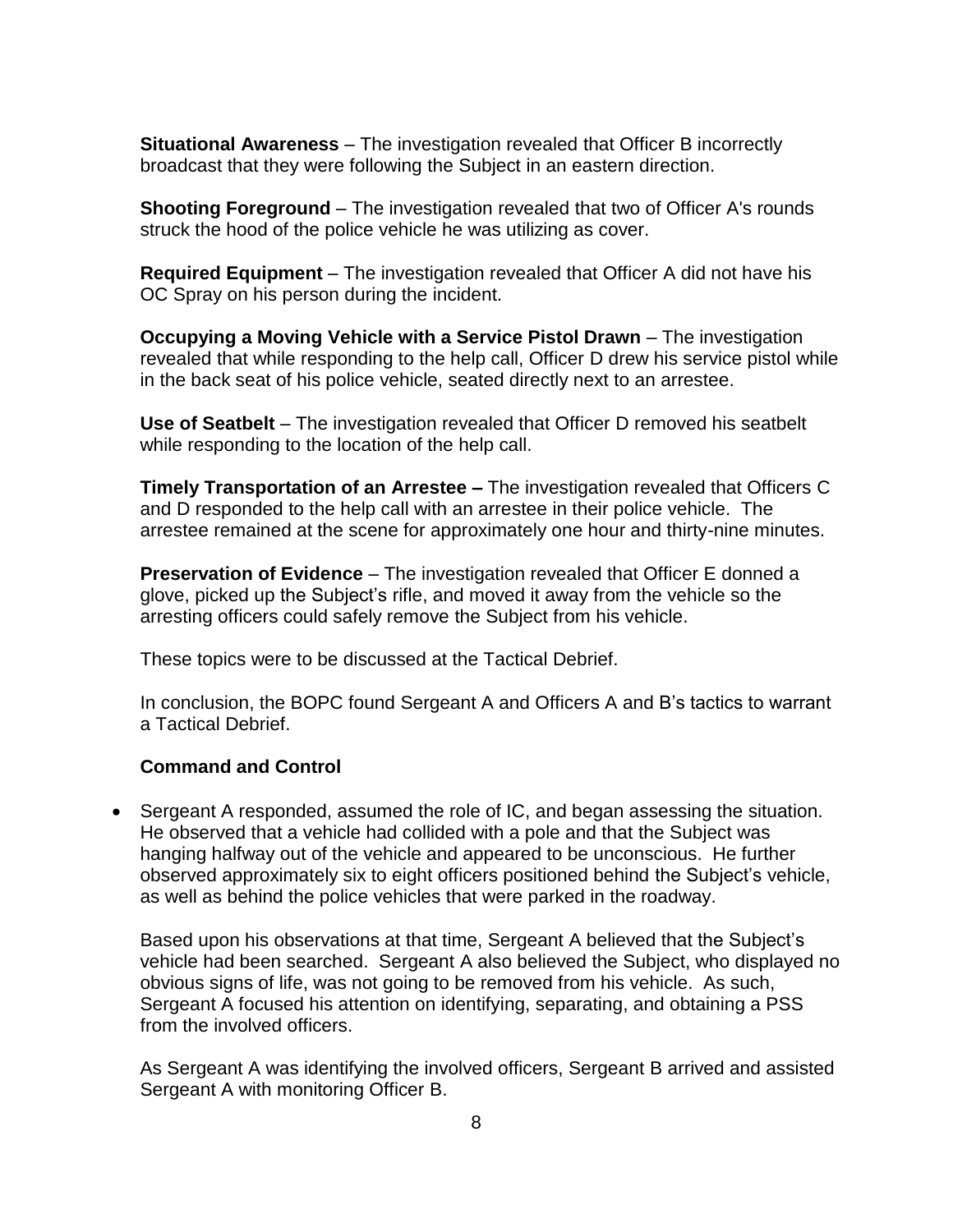**Situational Awareness** – The investigation revealed that Officer B incorrectly broadcast that they were following the Subject in an eastern direction.

**Shooting Foreground** – The investigation revealed that two of Officer A's rounds struck the hood of the police vehicle he was utilizing as cover.

**Required Equipment** – The investigation revealed that Officer A did not have his OC Spray on his person during the incident.

**Occupying a Moving Vehicle with a Service Pistol Drawn** – The investigation revealed that while responding to the help call, Officer D drew his service pistol while in the back seat of his police vehicle, seated directly next to an arrestee.

**Use of Seatbelt** – The investigation revealed that Officer D removed his seatbelt while responding to the location of the help call.

**Timely Transportation of an Arrestee –** The investigation revealed that Officers C and D responded to the help call with an arrestee in their police vehicle. The arrestee remained at the scene for approximately one hour and thirty-nine minutes.

**Preservation of Evidence** – The investigation revealed that Officer E donned a glove, picked up the Subject's rifle, and moved it away from the vehicle so the arresting officers could safely remove the Subject from his vehicle.

These topics were to be discussed at the Tactical Debrief.

In conclusion, the BOPC found Sergeant A and Officers A and B's tactics to warrant a Tactical Debrief.

### **Command and Control**

• Sergeant A responded, assumed the role of IC, and began assessing the situation. He observed that a vehicle had collided with a pole and that the Subject was hanging halfway out of the vehicle and appeared to be unconscious. He further observed approximately six to eight officers positioned behind the Subject's vehicle, as well as behind the police vehicles that were parked in the roadway.

Based upon his observations at that time, Sergeant A believed that the Subject's vehicle had been searched. Sergeant A also believed the Subject, who displayed no obvious signs of life, was not going to be removed from his vehicle. As such, Sergeant A focused his attention on identifying, separating, and obtaining a PSS from the involved officers.

As Sergeant A was identifying the involved officers, Sergeant B arrived and assisted Sergeant A with monitoring Officer B.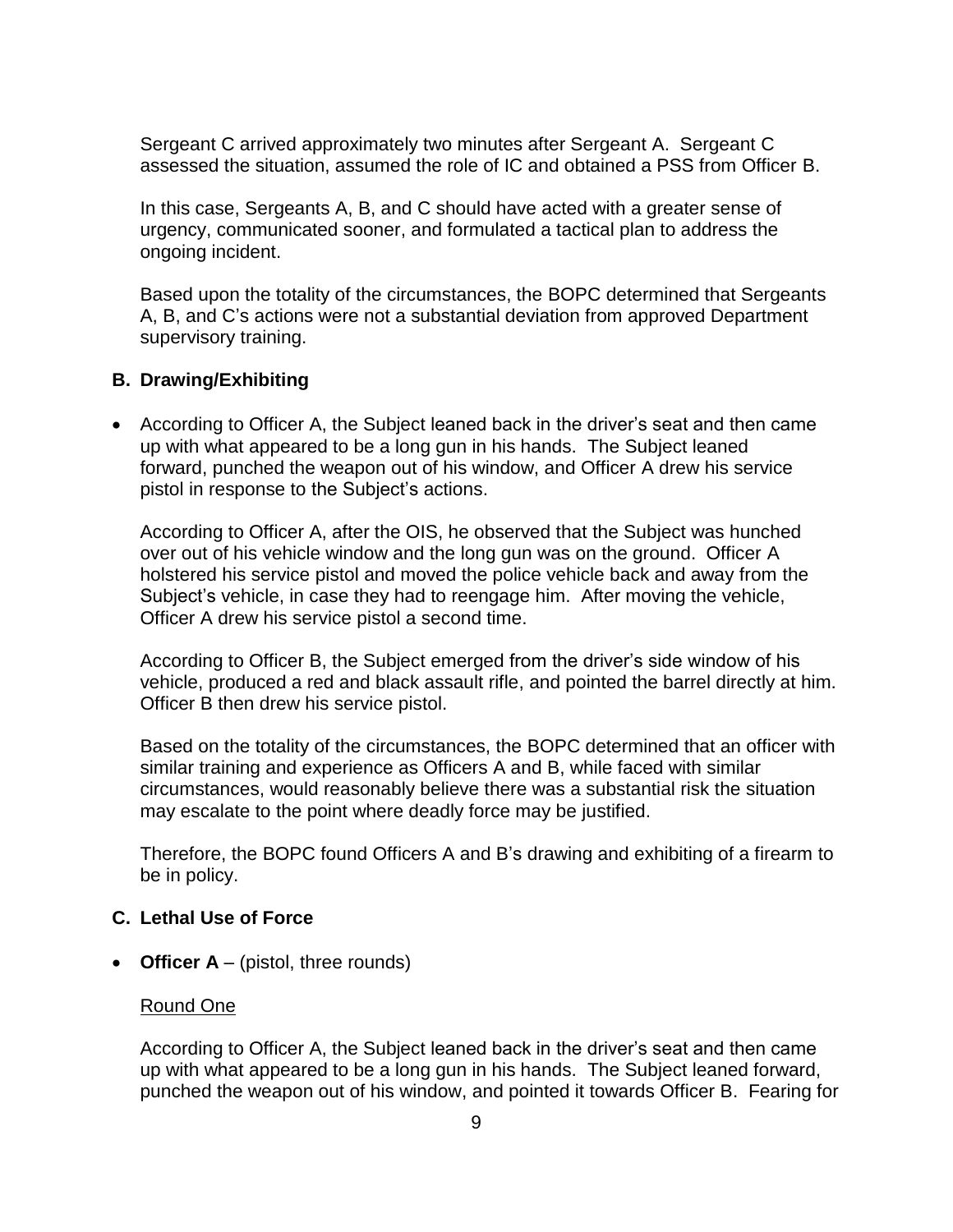Sergeant C arrived approximately two minutes after Sergeant A. Sergeant C assessed the situation, assumed the role of IC and obtained a PSS from Officer B.

In this case, Sergeants A, B, and C should have acted with a greater sense of urgency, communicated sooner, and formulated a tactical plan to address the ongoing incident.

Based upon the totality of the circumstances, the BOPC determined that Sergeants A, B, and C's actions were not a substantial deviation from approved Department supervisory training.

### **B. Drawing/Exhibiting**

• According to Officer A, the Subject leaned back in the driver's seat and then came up with what appeared to be a long gun in his hands. The Subject leaned forward, punched the weapon out of his window, and Officer A drew his service pistol in response to the Subject's actions.

According to Officer A, after the OIS, he observed that the Subject was hunched over out of his vehicle window and the long gun was on the ground. Officer A holstered his service pistol and moved the police vehicle back and away from the Subject's vehicle, in case they had to reengage him. After moving the vehicle, Officer A drew his service pistol a second time.

According to Officer B, the Subject emerged from the driver's side window of his vehicle, produced a red and black assault rifle, and pointed the barrel directly at him. Officer B then drew his service pistol.

Based on the totality of the circumstances, the BOPC determined that an officer with similar training and experience as Officers A and B, while faced with similar circumstances, would reasonably believe there was a substantial risk the situation may escalate to the point where deadly force may be justified.

Therefore, the BOPC found Officers A and B's drawing and exhibiting of a firearm to be in policy.

#### **C. Lethal Use of Force**

• **Officer A** – (pistol, three rounds)

#### Round One

According to Officer A, the Subject leaned back in the driver's seat and then came up with what appeared to be a long gun in his hands. The Subject leaned forward, punched the weapon out of his window, and pointed it towards Officer B. Fearing for